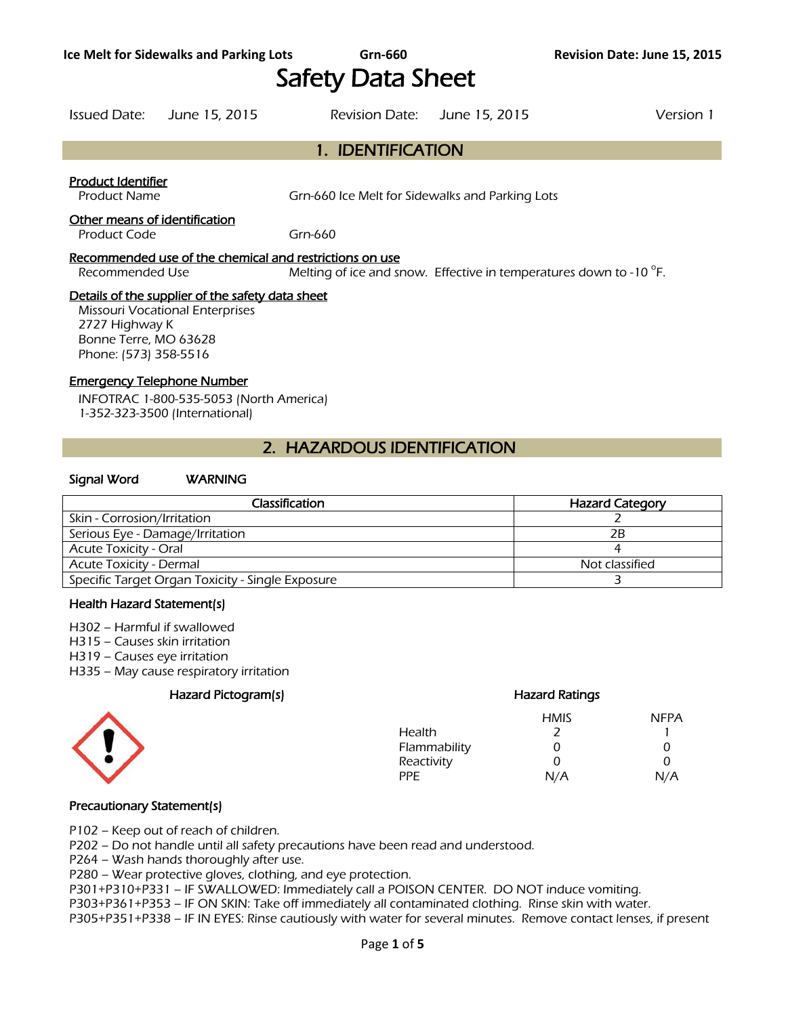# Safety Data Sheet

1. IDENTIFICATION

## Issued Date: June 15, 2015 Revision Date: June 15, 2015 Version 1

Product Identifier

Product Name **Grn-660** Ice Melt for Sidewalks and Parking Lots

#### Other means of identification

Product Code Grn-660

#### Recommended use of the chemical and restrictions on use

Recommended Use Melting of ice and snow. Effective in temperatures down to -10 $\degree$ F.

#### Details of the supplier of the safety data sheet

Missouri Vocational Enterprises 2727 Highway K Bonne Terre, MO 63628 Phone: (573) 358-5516

## Emergency Telephone Number

INFOTRAC 1-800-535-5053 (North America) 1-352-323-3500 (International)

# 2. HAZARDOUS IDENTIFICATION

#### Signal Word WARNING

| Classification                                   | <b>Hazard Category</b> |
|--------------------------------------------------|------------------------|
| Skin - Corrosion/Irritation                      |                        |
| Serious Eye - Damage/Irritation                  | 2B                     |
| <b>Acute Toxicity - Oral</b>                     |                        |
| <b>Acute Toxicity - Dermal</b>                   | Not classified         |
| Specific Target Organ Toxicity - Single Exposure |                        |
|                                                  |                        |

#### Health Hazard Statement(s)

H302 – Harmful if swallowed

- H315 Causes skin irritation
- H319 Causes eye irritation
- H335 May cause respiratory irritation

## Hazard Pictogram(s) extending the extending Hazard Ratings



## HMIS NFPA Health 2 1 Flammability 0 0 0

Reactivity 0 0<br>PPE N/A N// PPE N/A N/A

## Precautionary Statement(s)

P102 – Keep out of reach of children.

P202 – Do not handle until all safety precautions have been read and understood.

P264 – Wash hands thoroughly after use.

P280 – Wear protective gloves, clothing, and eye protection.

P301+P310+P331 – IF SWALLOWED: Immediately call a POISON CENTER. DO NOT induce vomiting.

P303+P361+P353 – IF ON SKIN: Take off immediately all contaminated clothing. Rinse skin with water.

P305+P351+P338 – IF IN EYES: Rinse cautiously with water for several minutes. Remove contact lenses, if present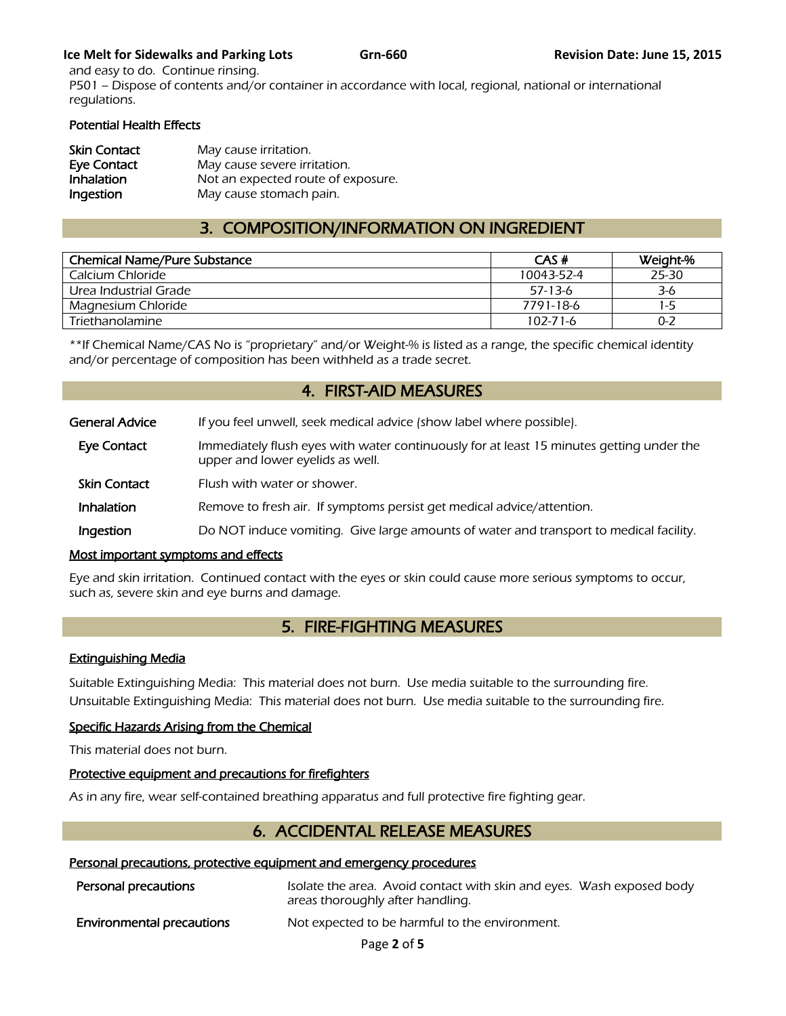## **Ice Melt for Sidewalks and Parking Lots Grn-660 <b>Revision Date:** June 15, 2015

and easy to do. Continue rinsing. P501 – Dispose of contents and/or container in accordance with local, regional, national or international regulations.

## Potential Health Effects

| <b>Skin Contact</b> | May cause irritation.              |
|---------------------|------------------------------------|
| Eye Contact         | May cause severe irritation.       |
| Inhalation          | Not an expected route of exposure. |
| Ingestion           | May cause stomach pain.            |

# 3. COMPOSITION/INFORMATION ON INGREDIENT

| <b>Chemical Name/Pure Substance</b> | CAS#           | Weight-% |
|-------------------------------------|----------------|----------|
| Calcium Chloride                    | 10043-52-4     | 25-30    |
| Urea Industrial Grade               | $57-13-6$      | 3-6      |
| Magnesium Chloride                  | 7791-18-6      | 1-5      |
| Triethanolamine                     | $102 - 71 - 6$ | $0 - 2$  |
|                                     |                |          |

\*\*If Chemical Name/CAS No is "proprietary" and/or Weight-% is listed as a range, the specific chemical identity and/or percentage of composition has been withheld as a trade secret.

## 4. FIRST-AID MEASURES

| <b>General Advice</b> | If you feel unwell, seek medical advice (show label where possible).                                                         |
|-----------------------|------------------------------------------------------------------------------------------------------------------------------|
| Eye Contact           | Immediately flush eyes with water continuously for at least 15 minutes getting under the<br>upper and lower eyelids as well. |
| <b>Skin Contact</b>   | Flush with water or shower.                                                                                                  |
| Inhalation            | Remove to fresh air. If symptoms persist get medical advice/attention.                                                       |
| Ingestion             | Do NOT induce vomiting. Give large amounts of water and transport to medical facility.                                       |

## Most important symptoms and effects

Eye and skin irritation. Continued contact with the eyes or skin could cause more serious symptoms to occur, such as, severe skin and eye burns and damage.

# 5. FIRE-FIGHTING MEASURES

## Extinguishing Media

Suitable Extinguishing Media: This material does not burn. Use media suitable to the surrounding fire. Unsuitable Extinguishing Media: This material does not burn. Use media suitable to the surrounding fire.

## Specific Hazards Arising from the Chemical

This material does not burn.

## Protective equipment and precautions for firefighters

As in any fire, wear self-contained breathing apparatus and full protective fire fighting gear.

# 6. ACCIDENTAL RELEASE MEASURES

## Personal precautions, protective equipment and emergency procedures

| Personal precautions             | Isolate the area. Avoid contact with skin and eyes. Wash exposed body<br>areas thoroughly after handling. |
|----------------------------------|-----------------------------------------------------------------------------------------------------------|
| <b>Environmental precautions</b> | Not expected to be harmful to the environment.                                                            |

Page **2** of **5**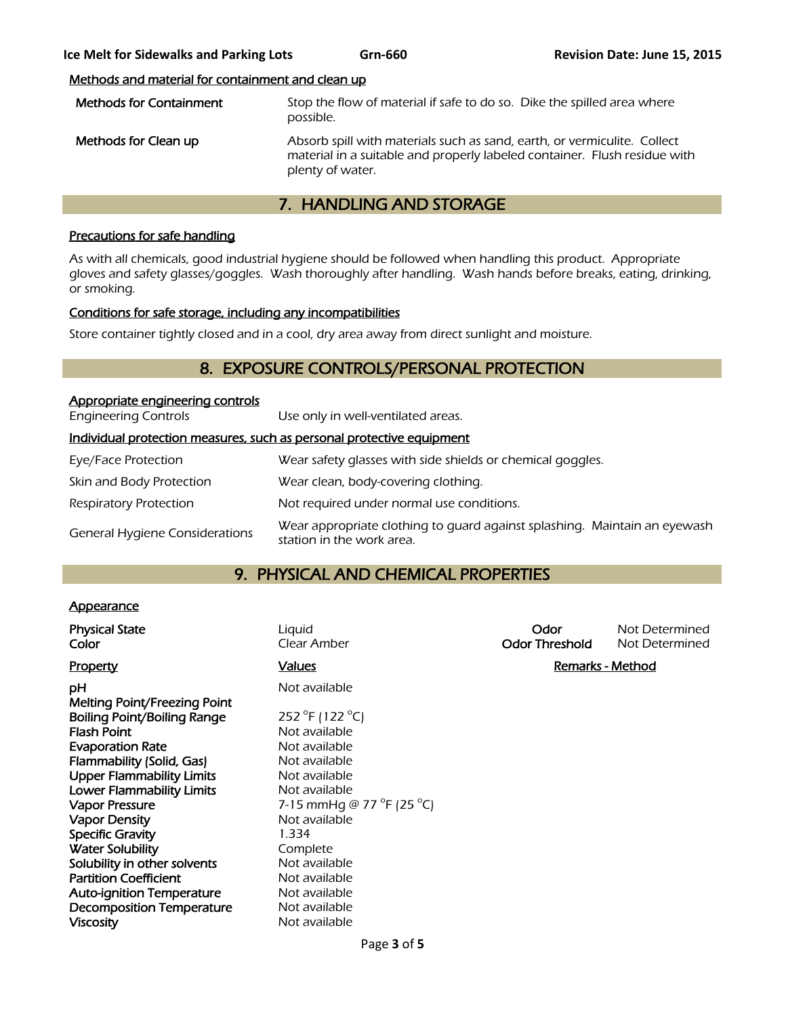## Methods and material for containment and clean up

| <b>Methods for Containment</b> | Stop the flow of material if safe to do so. Dike the spilled area where<br>possible.                                                                                      |
|--------------------------------|---------------------------------------------------------------------------------------------------------------------------------------------------------------------------|
| Methods for Clean up           | Absorb spill with materials such as sand, earth, or vermiculite. Collect<br>material in a suitable and properly labeled container. Flush residue with<br>plenty of water. |

# 7. HANDLING AND STORAGE

## Precautions for safe handling

As with all chemicals, good industrial hygiene should be followed when handling this product. Appropriate gloves and safety glasses/goggles. Wash thoroughly after handling. Wash hands before breaks, eating, drinking, or smoking.

## Conditions for safe storage, including any incompatibilities

Store container tightly closed and in a cool, dry area away from direct sunlight and moisture.

# 8. EXPOSURE CONTROLS/PERSONAL PROTECTION

| Appropriate engineering controls                                      |                                                                                                        |
|-----------------------------------------------------------------------|--------------------------------------------------------------------------------------------------------|
| <b>Engineering Controls</b>                                           | Use only in well-ventilated areas.                                                                     |
| Individual protection measures, such as personal protective equipment |                                                                                                        |
| Eye/Face Protection                                                   | Wear safety glasses with side shields or chemical goggles.                                             |
| Skin and Body Protection                                              | Wear clean, body-covering clothing.                                                                    |
| <b>Respiratory Protection</b>                                         | Not required under normal use conditions.                                                              |
| <b>General Hygiene Considerations</b>                                 | Wear appropriate clothing to quard against splashing. Maintain an eyewash<br>station in the work area. |

# 9. PHYSICAL AND CHEMICAL PROPERTIES

## **Appearance**

| <b>Physical State</b><br>Color                                     | Liquid<br>Clear Amber                         | Odor<br><b>Odor Threshold</b> | Not Determined<br>Not Determined |
|--------------------------------------------------------------------|-----------------------------------------------|-------------------------------|----------------------------------|
| <b>Property</b>                                                    | <b>Values</b>                                 | <b>Remarks - Method</b>       |                                  |
| рH                                                                 | Not available                                 |                               |                                  |
| Melting Point/Freezing Point<br><b>Boiling Point/Boiling Range</b> | 252 °F (122 °C)                               |                               |                                  |
| <b>Flash Point</b>                                                 | Not available                                 |                               |                                  |
| <b>Evaporation Rate</b>                                            | Not available                                 |                               |                                  |
| Flammability (Solid, Gas)                                          | Not available                                 |                               |                                  |
| <b>Upper Flammability Limits</b>                                   | Not available                                 |                               |                                  |
| <b>Lower Flammability Limits</b>                                   | Not available                                 |                               |                                  |
| <b>Vapor Pressure</b>                                              | 7-15 mmHg @ 77 $^{\circ}$ F (25 $^{\circ}$ C) |                               |                                  |
| <b>Vapor Density</b>                                               | Not available                                 |                               |                                  |
| <b>Specific Gravity</b>                                            | 1.334                                         |                               |                                  |
| <b>Water Solubility</b>                                            | Complete                                      |                               |                                  |
| Solubility in other solvents                                       | Not available                                 |                               |                                  |
| <b>Partition Coefficient</b>                                       | Not available                                 |                               |                                  |
| <b>Auto-ignition Temperature</b>                                   | Not available                                 |                               |                                  |
| <b>Decomposition Temperature</b>                                   | Not available                                 |                               |                                  |
| <b>Viscosity</b>                                                   | Not available                                 |                               |                                  |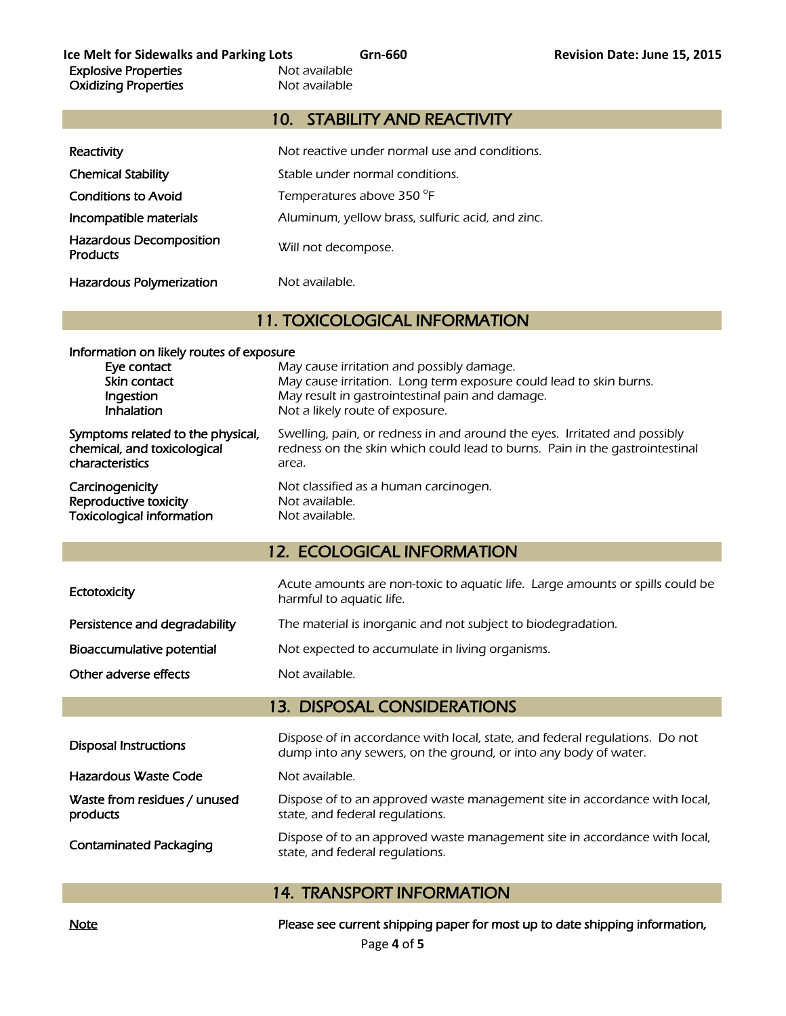## 10. STABILITY AND REACTIVITY

| Reactivity                                        | Not reactive under normal use and conditions.    |
|---------------------------------------------------|--------------------------------------------------|
| <b>Chemical Stability</b>                         | Stable under normal conditions.                  |
| <b>Conditions to Avoid</b>                        | Temperatures above 350 °F                        |
| Incompatible materials                            | Aluminum, yellow brass, sulfuric acid, and zinc. |
| <b>Hazardous Decomposition</b><br><b>Products</b> | Will not decompose.                              |
| <b>Hazardous Polymerization</b>                   | Not available.                                   |

# 11. TOXICOLOGICAL INFORMATION

| Information on likely routes of exposure                                            |                                                                                                                                                                    |  |
|-------------------------------------------------------------------------------------|--------------------------------------------------------------------------------------------------------------------------------------------------------------------|--|
| Eye contact<br>Skin contact<br>Ingestion<br><b>Inhalation</b>                       | May cause irritation and possibly damage.<br>May cause irritation. Long term exposure could lead to skin burns.<br>May result in gastrointestinal pain and damage. |  |
|                                                                                     | Not a likely route of exposure.                                                                                                                                    |  |
| Symptoms related to the physical,<br>chemical, and toxicological<br>characteristics | Swelling, pain, or redness in and around the eyes. Irritated and possibly<br>redness on the skin which could lead to burns. Pain in the gastrointestinal<br>area.  |  |
| Carcinogenicity<br>Reproductive toxicity<br><b>Toxicological information</b>        | Not classified as a human carcinogen.<br>Not available.<br>Not available.                                                                                          |  |

## 12. ECOLOGICAL INFORMATION

| Ectotoxicity                  | Acute amounts are non-toxic to aquatic life. Large amounts or spills could be<br>harmful to aquatic life. |
|-------------------------------|-----------------------------------------------------------------------------------------------------------|
| Persistence and degradability | The material is inorganic and not subject to biodegradation.                                              |
| Bioaccumulative potential     | Not expected to accumulate in living organisms.                                                           |
| Other adverse effects         | Not available.                                                                                            |

# 13. DISPOSAL CONSIDERATIONS

| <b>Disposal Instructions</b>             | Dispose of in accordance with local, state, and federal regulations. Do not<br>dump into any sewers, on the ground, or into any body of water. |
|------------------------------------------|------------------------------------------------------------------------------------------------------------------------------------------------|
| Hazardous Waste Code                     | Not available.                                                                                                                                 |
| Waste from residues / unused<br>products | Dispose of to an approved waste management site in accordance with local,<br>state, and federal regulations.                                   |
| <b>Contaminated Packaging</b>            | Dispose of to an approved waste management site in accordance with local,<br>state, and federal regulations.                                   |

## 14. TRANSPORT INFORMATION

Note Note **Please see current shipping paper for most up to date shipping information**,